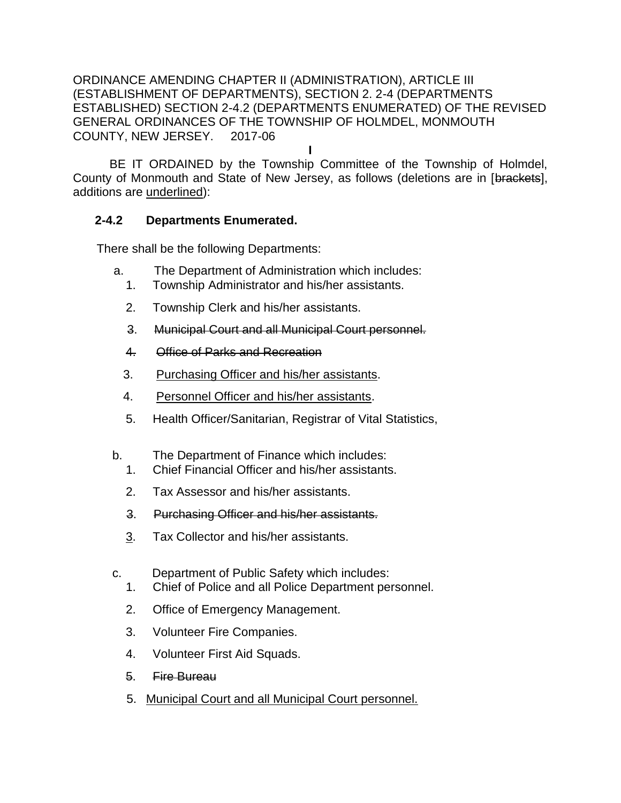ORDINANCE AMENDING CHAPTER II (ADMINISTRATION), ARTICLE III (ESTABLISHMENT OF DEPARTMENTS), SECTION 2. 2-4 (DEPARTMENTS ESTABLISHED) SECTION 2-4.2 (DEPARTMENTS ENUMERATED) OF THE REVISED GENERAL ORDINANCES OF THE TOWNSHIP OF HOLMDEL, MONMOUTH COUNTY, NEW JERSEY. 2017-06

**I**

BE IT ORDAINED by the Township Committee of the Township of Holmdel, County of Monmouth and State of New Jersey, as follows (deletions are in [brackets], additions are underlined):

## **2-4.2 Departments Enumerated.**

There shall be the following Departments:

- a. The Department of Administration which includes:
	- 1. Township Administrator and his/her assistants.
	- 2. Township Clerk and his/her assistants.
	- 3. Municipal Court and all Municipal Court personnel.
	- 4. Office of Parks and Recreation
	- 3. Purchasing Officer and his/her assistants.
	- 4. Personnel Officer and his/her assistants.
	- 5. Health Officer/Sanitarian, Registrar of Vital Statistics,
- b. The Department of Finance which includes:
	- 1. Chief Financial Officer and his/her assistants.
	- 2. Tax Assessor and his/her assistants.
	- 3. Purchasing Officer and his/her assistants.
	- 3. Tax Collector and his/her assistants.
- c. Department of Public Safety which includes:
	- 1. Chief of Police and all Police Department personnel.
	- 2. Office of Emergency Management.
	- 3. Volunteer Fire Companies.
	- 4. Volunteer First Aid Squads.
	- 5. Fire Bureau
	- 5. Municipal Court and all Municipal Court personnel.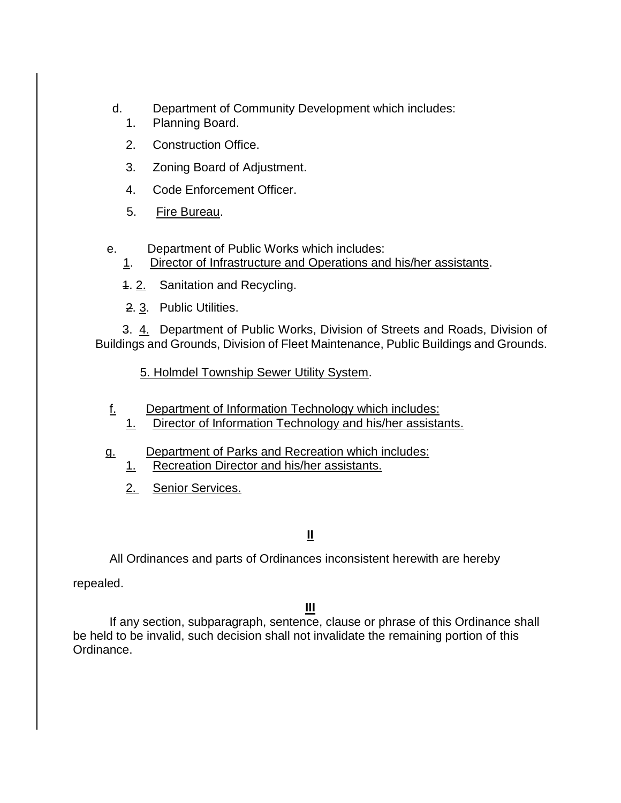- d. Department of Community Development which includes:
	- 1. Planning Board.
	- 2. Construction Office.
	- 3. Zoning Board of Adjustment.
	- 4. Code Enforcement Officer.
	- 5. Fire Bureau.
- e. Department of Public Works which includes:
	- 1. Director of Infrastructure and Operations and his/her assistants.
	- 1. 2. Sanitation and Recycling.
	- 2. 3. Public Utilities.

 3. 4. Department of Public Works, Division of Streets and Roads, Division of Buildings and Grounds, Division of Fleet Maintenance, Public Buildings and Grounds.

5. Holmdel Township Sewer Utility System.

- f. Department of Information Technology which includes:
	- 1. Director of Information Technology and his/her assistants.
- g. Department of Parks and Recreation which includes:
	- 1. Recreation Director and his/her assistants.
	- 2. Senior Services.

## **II**

All Ordinances and parts of Ordinances inconsistent herewith are hereby

repealed.

## **III**

If any section, subparagraph, sentence, clause or phrase of this Ordinance shall be held to be invalid, such decision shall not invalidate the remaining portion of this Ordinance.